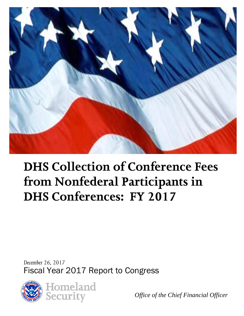

# **DHS Collection of Conference Fees from Nonfederal Participants in DHS Conferences: FY 2017**

 *December 26, 2017*  Fiscal Year 2017 Report to Congress



*Office of the Chief Financial Officer*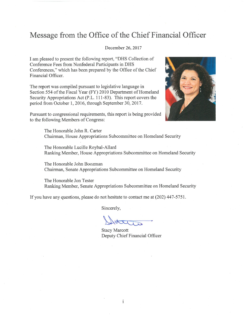### Message from the Office of the Chief Financial Officer

#### December 26, 2017

I am pleased to present the following report, "DHS Collection of Conference Fees from Nonfederal Participants in DHS Conferences," which has been prepared by the Office of the Chief Financial Officer.

The report was compiled pursuant to legislative language in Section 554 of the Fiscal Year (FY) 2010 Department of Homeland Security Appropriations Act (P.L. 111-83). This report covers the period from October 1, 2016, through September 30, 2017.



Pursuant to congressional requirements, this report is being provided to the following Members of Congress:

> The Honorable John R. Carter Chairman, House Appropriations Subcommittee on Homeland Security

The Honorable Lucille Roybal-Allard Ranking Member, House Appropriations Subcommittee on Homeland Security

The Honorable John Boozman Chairman, Senate Appropriations Subcommittee on Homeland Security

The Honorable Jon Tester Ranking Member, Senate Appropriations Subcommittee on Homeland Security

If you have any questions, please do not hesitate to contact me at (202) 447-5751.

Sincerely,

**Stacy Marcott** Deputy Chief Financial Officer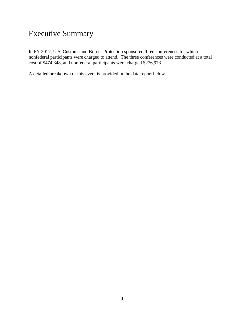# Executive Summary

 nonfederal participants were charged to attend. The three conferences were conducted at a total In FY 2017, U.S. Customs and Border Protection sponsored three conferences for which cost of \$474,348, and nonfederal participants were charged \$276,973.

A detailed breakdown of this event is provided in the data report below.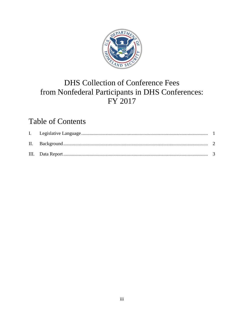

# **DHS Collection of Conference Fees** from Nonfederal Participants in DHS Conferences: FY 2017

# **Table of Contents**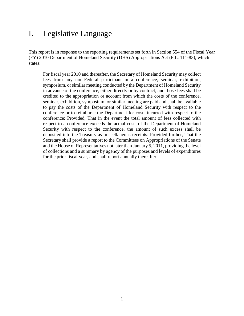### <span id="page-4-0"></span>I. Legislative Language

This report is in response to the reporting requirements set forth in Section 554 of the Fiscal Year (FY) 2010 Department of Homeland Security (DHS) Appropriations Act (P.L. 111-83), which states:

 seminar, exhibition, symposium, or similar meeting are paid and shall be available to pay the costs of the Department of Homeland Security with respect to the Security with respect to the conference, the amount of such excess shall be For fiscal year 2010 and thereafter, the Secretary of Homeland Security may collect fees from any non-Federal participant in a conference, seminar, exhibition, symposium, or similar meeting conducted by the Department of Homeland Security in advance of the conference, either directly or by contract, and those fees shall be credited to the appropriation or account from which the costs of the conference, conference or to reimburse the Department for costs incurred with respect to the conference: Provided, That in the event the total amount of fees collected with respect to a conference exceeds the actual costs of the Department of Homeland deposited into the Treasury as miscellaneous receipts: Provided further, That the Secretary shall provide a report to the Committees on Appropriations of the Senate and the House of Representatives not later than January 5, 2011, providing the level of collections and a summary by agency of the purposes and levels of expenditures for the prior fiscal year, and shall report annually thereafter.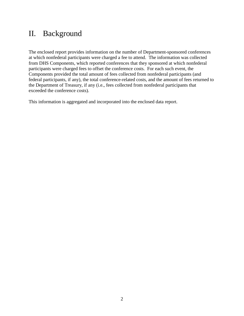## <span id="page-5-0"></span>II. Background

 the Department of Treasury, if any (i.e., fees collected from nonfederal participants that The enclosed report provides information on the number of Department-sponsored conferences at which nonfederal participants were charged a fee to attend. The information was collected from DHS Components, which reported conferences that they sponsored at which nonfederal participants were charged fees to offset the conference costs. For each such event, the Components provided the total amount of fees collected from nonfederal participants (and federal participants, if any), the total conference-related costs, and the amount of fees returned to exceeded the conference costs).

This information is aggregated and incorporated into the enclosed data report.